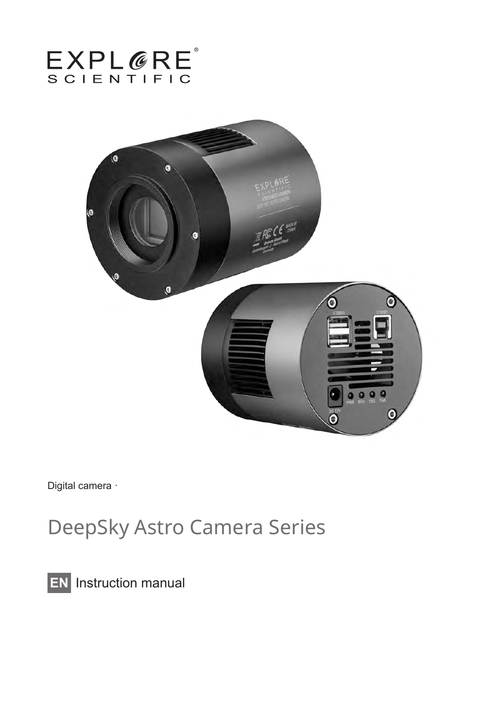



Digital camera ·

# DeepSky Astro Camera Series

**EN** Instruction manual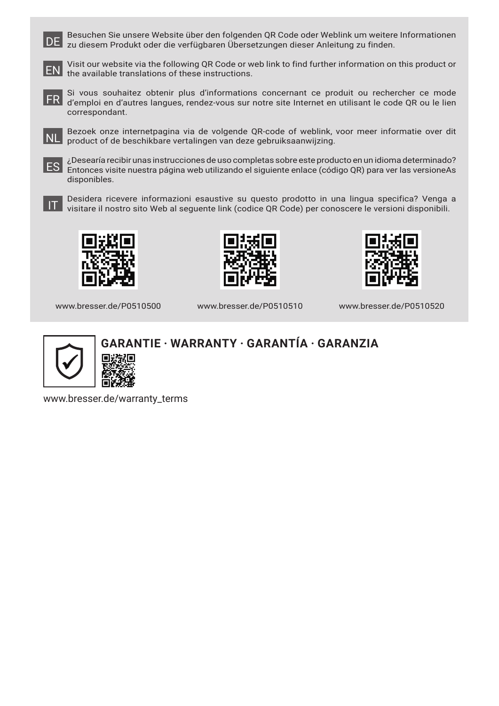DE Besuchen Sie unsere Website über den folgenden QR Code oder Weblink um weitere Informationen zu diesem Produkt oder die verfügbaren Übersetzungen dieser Anleitung zu finden.



Visit our website via the following QR Code or web link to find further information on this product or EN the available translations of these instructions.



FR Si vous souhaitez obtenir plus d'informations concernant ce produit ou rechercher ce mode d'emploi en d'autres langues, rendez-vous sur notre site Internet en utilisant le code QR ou le lien correspondant.



NL Bezoek onze internetpagina via de volgende QR-code of weblink, voor meer informatie over dit product of de beschikbare vertalingen van deze gebruiksaanwijzing.

ES ¿Desearía recibir unas instrucciones de uso completas sobre este producto en un idioma determinado? Entonces visite nuestra página web utilizando el siguiente enlace (código QR) para ver las versioneAs disponibles.



IT Desidera ricevere informazioni esaustive su questo prodotto in una lingua specifica? Venga a visitare il nostro sito Web al seguente link (codice QR Code) per conoscere le versioni disponibili.



www.bresser.de/P0510500





www.bresser.de/P0510510

www.bresser.de/P0510520



### **GARANTIE · WARRANTY · GARANTÍA · GARANZIA**

www.bresser.de/warranty\_terms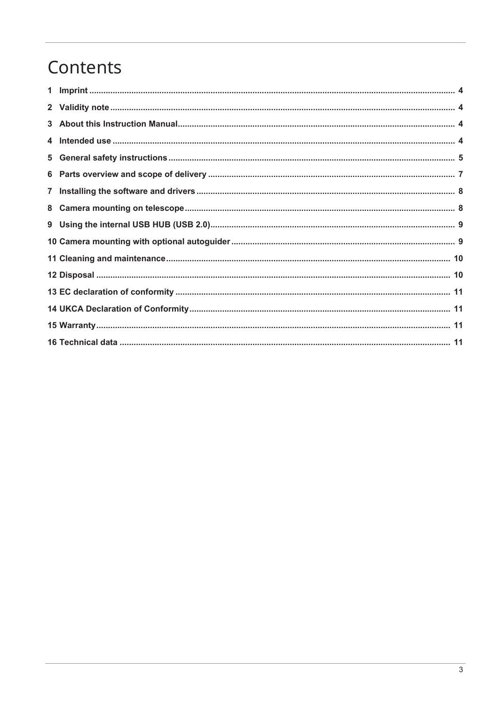## Contents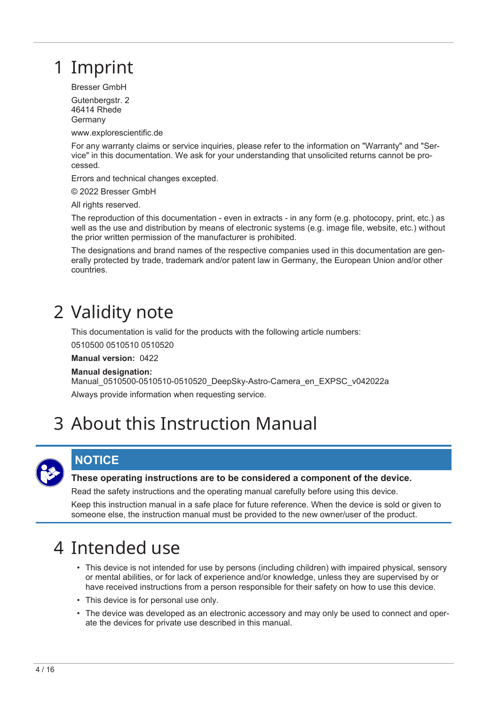## <span id="page-3-0"></span>1 Imprint

Bresser GmbH

Gutenbergstr. 2 46414 Rhede Germany

www.explorescientific.de

For any warranty claims or service inquiries, please refer to the information on "Warranty" and "Service" in this documentation. We ask for your understanding that unsolicited returns cannot be processed.

Errors and technical changes excepted.

© 2022 Bresser GmbH

All rights reserved.

The reproduction of this documentation - even in extracts - in any form (e.g. photocopy, print, etc.) as well as the use and distribution by means of electronic systems (e.g. image file, website, etc.) without the prior written permission of the manufacturer is prohibited.

The designations and brand names of the respective companies used in this documentation are generally protected by trade, trademark and/or patent law in Germany, the European Union and/or other countries.

## <span id="page-3-1"></span>2 Validity note

This documentation is valid for the products with the following article numbers:

0510500 0510510 0510520

**Manual version:** 0422

#### **Manual designation:**

Manual\_0510500-0510510-0510520\_DeepSky-Astro-Camera\_en\_EXPSC\_v042022a Always provide information when requesting service.

## <span id="page-3-2"></span>3 About this Instruction Manual



### **NOTICE**

#### **These operating instructions are to be considered a component of the device.**

Read the safety instructions and the operating manual carefully before using this device.

Keep this instruction manual in a safe place for future reference. When the device is sold or given to someone else, the instruction manual must be provided to the new owner/user of the product.

## <span id="page-3-3"></span>4 Intended use

- This device is not intended for use by persons (including children) with impaired physical, sensory or mental abilities, or for lack of experience and/or knowledge, unless they are supervised by or have received instructions from a person responsible for their safety on how to use this device.
- This device is for personal use only.
- The device was developed as an electronic accessory and may only be used to connect and operate the devices for private use described in this manual.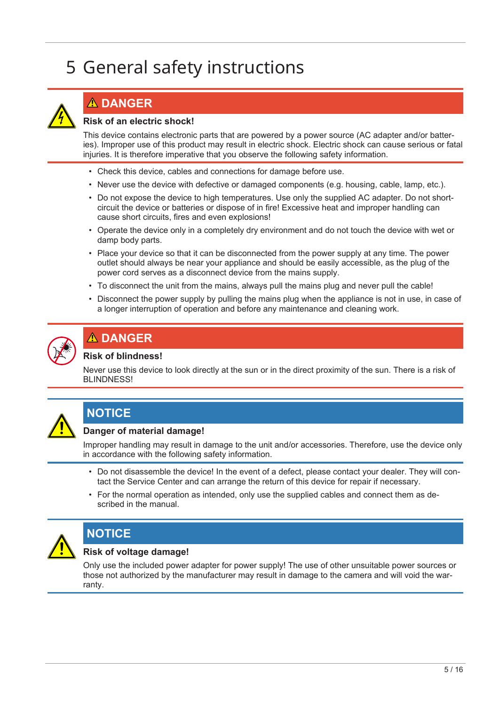# <span id="page-4-0"></span>5 General safety instructions



### **DANGER**

#### **Risk of an electric shock!**

This device contains electronic parts that are powered by a power source (AC adapter and/or batteries). Improper use of this product may result in electric shock. Electric shock can cause serious or fatal injuries. It is therefore imperative that you observe the following safety information.

- Check this device, cables and connections for damage before use.
- Never use the device with defective or damaged components (e.g. housing, cable, lamp, etc.).
- Do not expose the device to high temperatures. Use only the supplied AC adapter. Do not shortcircuit the device or batteries or dispose of in fire! Excessive heat and improper handling can cause short circuits, fires and even explosions!
- Operate the device only in a completely dry environment and do not touch the device with wet or damp body parts.
- Place your device so that it can be disconnected from the power supply at any time. The power outlet should always be near your appliance and should be easily accessible, as the plug of the power cord serves as a disconnect device from the mains supply.
- To disconnect the unit from the mains, always pull the mains plug and never pull the cable!
- Disconnect the power supply by pulling the mains plug when the appliance is not in use, in case of a longer interruption of operation and before any maintenance and cleaning work.



### **DANGER**

#### **Risk of blindness!**

Never use this device to look directly at the sun or in the direct proximity of the sun. There is a risk of BLINDNESS!



### **NOTICE**

#### **Danger of material damage!**

Improper handling may result in damage to the unit and/or accessories. Therefore, use the device only in accordance with the following safety information.

- Do not disassemble the device! In the event of a defect, please contact your dealer. They will contact the Service Center and can arrange the return of this device for repair if necessary.
- For the normal operation as intended, only use the supplied cables and connect them as described in the manual.



### **NOTICE**

#### **Risk of voltage damage!**

Only use the included power adapter for power supply! The use of other unsuitable power sources or those not authorized by the manufacturer may result in damage to the camera and will void the warranty.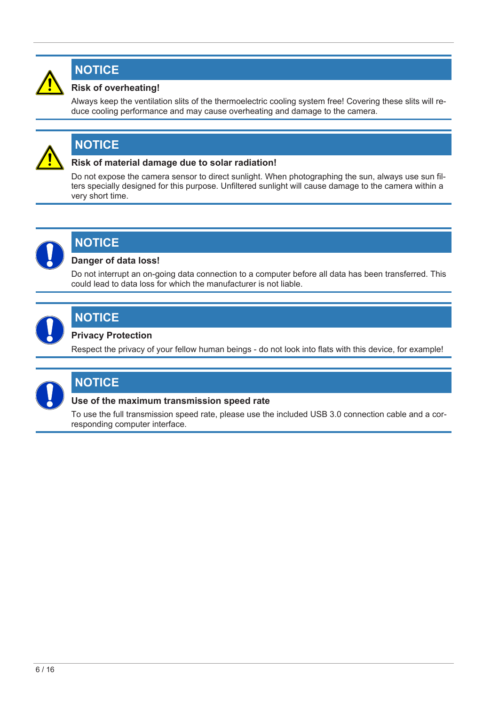

### **NOTICE**

### **Risk of overheating!**

Always keep the ventilation slits of the thermoelectric cooling system free! Covering these slits will reduce cooling performance and may cause overheating and damage to the camera.



### **NOTICE**

#### **Risk of material damage due to solar radiation!**

Do not expose the camera sensor to direct sunlight. When photographing the sun, always use sun filters specially designed for this purpose. Unfiltered sunlight will cause damage to the camera within a very short time.



### **NOTICE**

#### **Danger of data loss!**

Do not interrupt an on-going data connection to a computer before all data has been transferred. This could lead to data loss for which the manufacturer is not liable.



### **NOTICE**

#### **Privacy Protection**

Respect the privacy of your fellow human beings - do not look into flats with this device, for example!



### **NOTICE**

#### **Use of the maximum transmission speed rate**

To use the full transmission speed rate, please use the included USB 3.0 connection cable and a corresponding computer interface.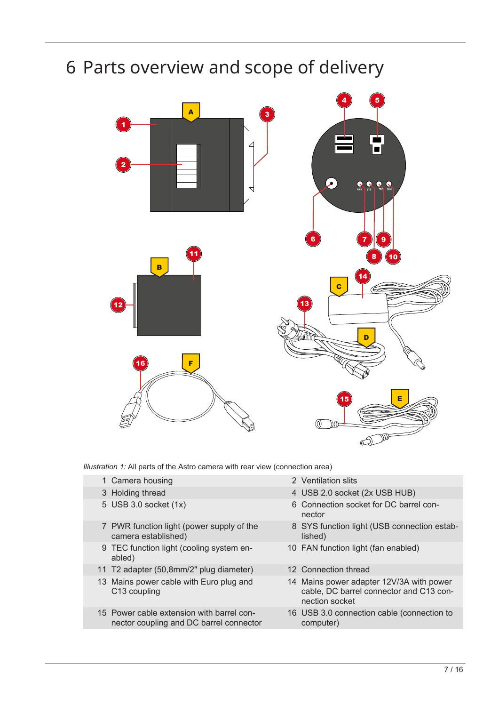## <span id="page-6-0"></span>6 Parts overview and scope of delivery



*Illustration 1:* All parts of the Astro camera with rear view (connection area)

- 1 Camera housing 2 Ventilation slits
- 
- 
- 7 PWR function light (power supply of the camera established)
- 9 TEC function light (cooling system enabled)
- 11 T2 adapter (50,8mm/2" plug diameter) 12 Connection thread
- 13 Mains power cable with Euro plug and C13 coupling
- 15 Power cable extension with barrel connector coupling and DC barrel connector
- 
- 3 Holding thread 4 USB 2.0 socket (2x USB HUB)
- 5 USB 3.0 socket (1x) 6 Connection socket for DC barrel connector
	- 8 SYS function light (USB connection established)
	- 10 FAN function light (fan enabled)
	-
	- 14 Mains power adapter 12V/3A with power cable, DC barrel connector and C13 connection socket
	- 16 USB 3.0 connection cable (connection to computer)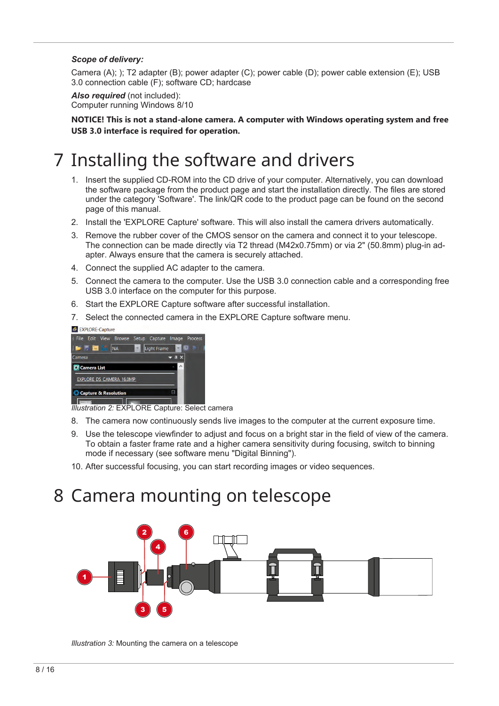#### *Scope of delivery:*

Camera (A); ); T2 adapter (B); power adapter (C); power cable (D); power cable extension (E); USB 3.0 connection cable (F); software CD; hardcase

*Also required* (not included): Computer running Windows 8/10

**NOTICE! This is not a stand-alone camera. A computer with Windows operating system and free USB 3.0 interface is required for operation.**

## <span id="page-7-0"></span>7 Installing the software and drivers

- 1. Insert the supplied CD-ROM into the CD drive of your computer. Alternatively, you can download the software package from the product page and start the installation directly. The files are stored under the category 'Software'. The link/QR code to the product page can be found on the second page of this manual.
- 2. Install the 'EXPLORE Capture' software. This will also install the camera drivers automatically.
- 3. Remove the rubber cover of the CMOS sensor on the camera and connect it to your telescope. The connection can be made directly via T2 thread (M42x0.75mm) or via 2" (50.8mm) plug-in adapter. Always ensure that the camera is securely attached.
- 4. Connect the supplied AC adapter to the camera.
- 5. Connect the camera to the computer. Use the USB 3.0 connection cable and a corresponding free USB 3.0 interface on the computer for this purpose.
- 6. Start the EXPLORE Capture software after successful installation.
- 7. Select the connected camera in the EXPLORE Capture software menu.

C EXPLORE-Capture



*Illustration 2:* EXPLORE Capture: Select camera

- 8. The camera now continuously sends live images to the computer at the current exposure time.
- 9. Use the telescope viewfinder to adjust and focus on a bright star in the field of view of the camera. To obtain a faster frame rate and a higher camera sensitivity during focusing, switch to binning mode if necessary (see software menu "Digital Binning").
- 10. After successful focusing, you can start recording images or video sequences.

### <span id="page-7-1"></span>8 Camera mounting on telescope



*Illustration 3:* Mounting the camera on a telescope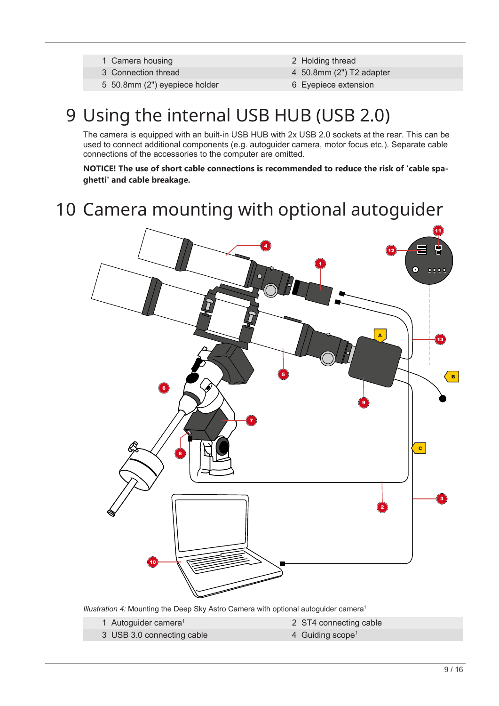- 1 Camera housing 2 Holding thread
- 
- 5 50.8mm (2") eyepiece holder 6 Eyepiece extension
- 
- 3 Connection thread 4 50.8mm (2") T2 adapter
	-

## <span id="page-8-0"></span>9 Using the internal USB HUB (USB 2.0)

The camera is equipped with an built-in USB HUB with 2x USB 2.0 sockets at the rear. This can be used to connect additional components (e.g. autoguider camera, motor focus etc.). Separate cable connections of the accessories to the computer are omitted.

**NOTICE! The use of short cable connections is recommended to reduce the risk of 'cable spaghetti' and cable breakage.**

## <span id="page-8-1"></span>10 Camera mounting with optional autoguider



*Illustration 4:* Mounting the Deep Sky Astro Camera with optional autoguider camera<sup>1</sup>

1 Autoguider camera<sup>1</sup>

- 2 ST4 connecting cable
- 3 USB 3.0 connecting cable 4 Guiding scope<sup>1</sup>
-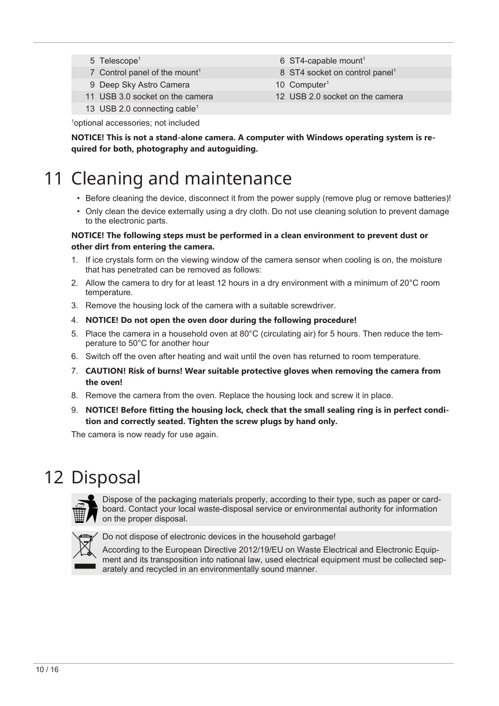- 5 Telescope<sup>1</sup>
- 7 Control panel of the mount<sup>1</sup>
- 9 Deep Sky Astro Camera 10 Computer<sup>1</sup>
- 11 USB 3.0 socket on the camera 12 USB 2.0 socket on the camera
- 13 USB 2.0 connecting cable<sup>1</sup>
- 6 ST4-capable mount<sup>1</sup>
- 8 ST4 socket on control panel<sup>1</sup>
- 
- 

1 optional accessories; not included

**NOTICE! This is not a stand-alone camera. A computer with Windows operating system is required for both, photography and autoguiding.**

# <span id="page-9-0"></span>11 Cleaning and maintenance

- Before cleaning the device, disconnect it from the power supply (remove plug or remove batteries)!
- Only clean the device externally using a dry cloth. Do not use cleaning solution to prevent damage to the electronic parts.

#### **NOTICE! The following steps must be performed in a clean environment to prevent dust or other dirt from entering the camera.**

- 1. If ice crystals form on the viewing window of the camera sensor when cooling is on, the moisture that has penetrated can be removed as follows:
- 2. Allow the camera to dry for at least 12 hours in a dry environment with a minimum of 20°C room temperature.
- 3. Remove the housing lock of the camera with a suitable screwdriver.
- 4. **NOTICE! Do not open the oven door during the following procedure!**
- 5. Place the camera in a household oven at 80°C (circulating air) for 5 hours. Then reduce the temperature to 50°C for another hour
- 6. Switch off the oven after heating and wait until the oven has returned to room temperature.
- 7. **CAUTION! Risk of burns! Wear suitable protective gloves when removing the camera from the oven!**
- 8. Remove the camera from the oven. Replace the housing lock and screw it in place.
- 9. **NOTICE! Before fitting the housing lock, check that the small sealing ring is in perfect condition and correctly seated. Tighten the screw plugs by hand only.**

The camera is now ready for use again.

## <span id="page-9-1"></span>12 Disposal



Dispose of the packaging materials properly, according to their type, such as paper or cardboard. Contact your local waste-disposal service or environmental authority for information on the proper disposal.



Do not dispose of electronic devices in the household garbage!

According to the European Directive 2012/19/EU on Waste Electrical and Electronic Equipment and its transposition into national law, used electrical equipment must be collected separately and recycled in an environmentally sound manner.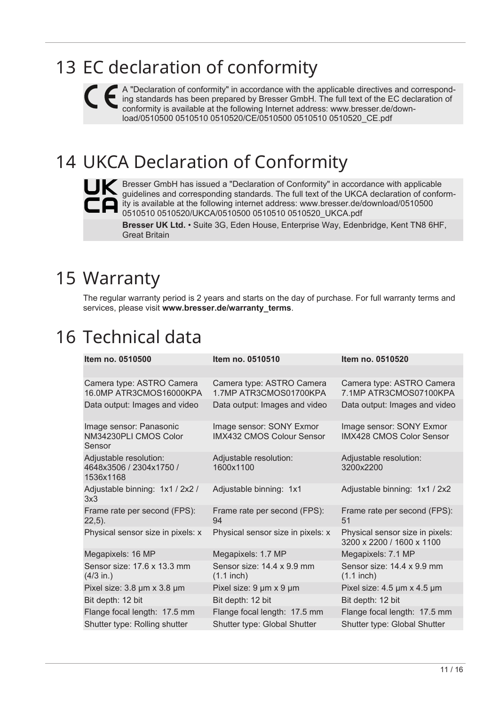## <span id="page-10-0"></span>13 EC declaration of conformity

A "Declaration of conformity" in accordance with the applicable directives and corresponding standards has been prepared by Bresser GmbH. The full text of the EC declaration of conformity is available at the following Internet address: [www.bresser.de/down](http://www.bresser.de/download/0510500%0D%0A0510510%0D%0A0510520/CE/0510500%0D%0A0510510%0D%0A0510520_CE.pdf)[load/0510500 0510510 0510520/CE/0510500 0510510 0510520\\_CE.pdf](http://www.bresser.de/download/0510500%0D%0A0510510%0D%0A0510520/CE/0510500%0D%0A0510510%0D%0A0510520_CE.pdf)

# 14 UKCA Declaration of Conformity



<span id="page-10-1"></span>**Bresser GmbH has issued a "Declaration of Conformity" in accordance with applicable** guidelines and corresponding standards. The full text of the UKCA declaration of conformity is available at the following internet address: [www.bresser.de/download/0510500](http://www.bresser.de/download/0510500%0D%0A0510510%0D%0A0510520/UKCA/0510500%0D%0A0510510%0D%0A0510520_UKCA.pdf) [0510510 0510520/UKCA/0510500 0510510 0510520\\_UKCA.pdf](http://www.bresser.de/download/0510500%0D%0A0510510%0D%0A0510520/UKCA/0510500%0D%0A0510510%0D%0A0510520_UKCA.pdf)

**Bresser UK Ltd.** • Suite 3G, Eden House, Enterprise Way, Edenbridge, Kent TN8 6HF, Great Britain

## <span id="page-10-2"></span>15 Warranty

The regular warranty period is 2 years and starts on the day of purchase. For full warranty terms and services, please visit www.bresser.de/warranty\_terms.

## <span id="page-10-3"></span>16 Technical data

| Item no. 0510500                                               | Item no. 0510510                                      | Item no. 0510520                                             |
|----------------------------------------------------------------|-------------------------------------------------------|--------------------------------------------------------------|
|                                                                |                                                       |                                                              |
| Camera type: ASTRO Camera<br>16.0MP ATR3CMOS16000KPA           | Camera type: ASTRO Camera<br>1.7MP ATR3CMOS01700KPA   | Camera type: ASTRO Camera<br>7.1MP ATR3CMOS07100KPA          |
| Data output: Images and video                                  | Data output: Images and video                         | Data output: Images and video                                |
| Image sensor: Panasonic<br>NM34230PLI CMOS Color<br>Sensor     | Image sensor: SONY Exmor<br>IMX432 CMOS Colour Sensor | Image sensor: SONY Exmor<br><b>IMX428 CMOS Color Sensor</b>  |
| Adjustable resolution:<br>4648x3506 / 2304x1750 /<br>1536x1168 | Adjustable resolution:<br>1600x1100                   | Adjustable resolution:<br>3200x2200                          |
| Adjustable binning: 1x1 / 2x2 /<br>3x3                         | Adjustable binning: 1x1                               | Adjustable binning: 1x1 / 2x2                                |
| Frame rate per second (FPS):<br>$22,5$ ).                      | Frame rate per second (FPS):<br>94                    | Frame rate per second (FPS):<br>51                           |
| Physical sensor size in pixels: x                              | Physical sensor size in pixels: x                     | Physical sensor size in pixels:<br>3200 x 2200 / 1600 x 1100 |
| Megapixels: 16 MP                                              | Megapixels: 1.7 MP                                    | Megapixels: 7.1 MP                                           |
| Sensor size: 17.6 x 13.3 mm<br>$(4/3$ in.)                     | Sensor size: 14.4 x 9.9 mm<br>$(1.1$ inch)            | Sensor size: 14.4 x 9.9 mm<br>$(1.1$ inch)                   |
| Pixel size: 3.8 µm x 3.8 µm                                    | Pixel size: 9 µm x 9 µm                               | Pixel size: $4.5 \mu m \times 4.5 \mu m$                     |
| Bit depth: 12 bit                                              | Bit depth: 12 bit                                     | Bit depth: 12 bit                                            |
| Flange focal length: 17.5 mm                                   | Flange focal length: 17.5 mm                          | Flange focal length: 17.5 mm                                 |
| Shutter type: Rolling shutter                                  | Shutter type: Global Shutter                          | Shutter type: Global Shutter                                 |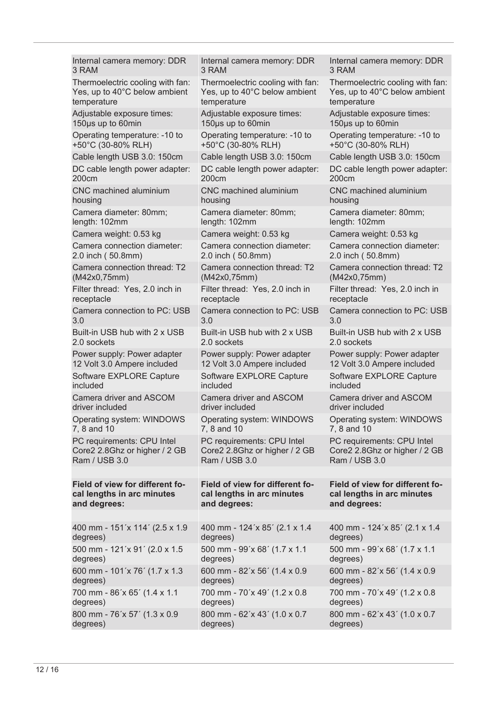| Internal camera memory: DDR      | Internal camera memory: DDR      | Internal camera memory: DDR      |
|----------------------------------|----------------------------------|----------------------------------|
| 3 RAM                            | 3 RAM                            | 3 RAM                            |
| Thermoelectric cooling with fan: | Thermoelectric cooling with fan: | Thermoelectric cooling with fan: |
| Yes, up to 40°C below ambient    | Yes, up to 40°C below ambient    | Yes, up to 40°C below ambient    |
| temperature                      | temperature                      | temperature                      |
| Adjustable exposure times:       | Adjustable exposure times:       | Adjustable exposure times:       |
| 150µs up to 60min                | 150µs up to 60min                | 150µs up to 60min                |
| Operating temperature: -10 to    | Operating temperature: -10 to    | Operating temperature: -10 to    |
| +50°C (30-80% RLH)               | +50°C (30-80% RLH)               | +50°C (30-80% RLH)               |
| Cable length USB 3.0: 150cm      | Cable length USB 3.0: 150cm      | Cable length USB 3.0: 150cm      |
| DC cable length power adapter:   | DC cable length power adapter:   | DC cable length power adapter:   |
| 200cm                            | 200cm                            | 200cm                            |
| CNC machined aluminium           | CNC machined aluminium           | <b>CNC</b> machined aluminium    |
| housing                          | housing                          | housing                          |
| Camera diameter: 80mm;           | Camera diameter: 80mm;           | Camera diameter: 80mm;           |
| length: 102mm                    | length: 102mm                    | length: 102mm                    |
| Camera weight: 0.53 kg           | Camera weight: 0.53 kg           | Camera weight: 0.53 kg           |
| Camera connection diameter:      | Camera connection diameter:      | Camera connection diameter:      |
| 2.0 inch (50.8mm)                | 2.0 inch (50.8mm)                | 2.0 inch (50.8mm)                |
| Camera connection thread: T2     | Camera connection thread: T2     | Camera connection thread: T2     |
| (M42x0,75mm)                     | (M42x0, 75mm)                    | (M42x0,75mm)                     |
| Filter thread: Yes, 2.0 inch in  | Filter thread: Yes, 2.0 inch in  | Filter thread: Yes, 2.0 inch in  |
| receptacle                       | receptacle                       | receptacle                       |
| Camera connection to PC: USB     | Camera connection to PC: USB     | Camera connection to PC: USB     |
| 3.0                              | 3.0                              | 3.0                              |
| Built-in USB hub with 2 x USB    | Built-in USB hub with 2 x USB    | Built-in USB hub with 2 x USB    |
| 2.0 sockets                      | 2.0 sockets                      | 2.0 sockets                      |
| Power supply: Power adapter      | Power supply: Power adapter      | Power supply: Power adapter      |
| 12 Volt 3.0 Ampere included      | 12 Volt 3.0 Ampere included      | 12 Volt 3.0 Ampere included      |
| Software EXPLORE Capture         | Software EXPLORE Capture         | Software EXPLORE Capture         |
| included                         | included                         | included                         |
| Camera driver and ASCOM          | Camera driver and ASCOM          | Camera driver and ASCOM          |
| driver included                  | driver included                  | driver included                  |
| Operating system: WINDOWS        | Operating system: WINDOWS        | Operating system: WINDOWS        |
| 7, 8 and 10                      | 7, 8 and 10                      | 7, 8 and 10                      |
| PC requirements: CPU Intel       | PC requirements: CPU Intel       | PC requirements: CPU Intel       |
| Core2 2.8Ghz or higher / 2 GB    | Core2 2.8Ghz or higher / 2 GB    | Core2 2.8Ghz or higher / 2 GB    |
| Ram / USB 3.0                    | Ram / USB 3.0                    | Ram / USB 3.0                    |
|                                  |                                  |                                  |
| Field of view for different fo-  | Field of view for different fo-  | Field of view for different fo-  |
| cal lengths in arc minutes       | cal lengths in arc minutes       | cal lengths in arc minutes       |
| and degrees:                     | and degrees:                     | and degrees:                     |
|                                  |                                  |                                  |
| 400 mm - 151'x 114' (2.5 x 1.9   | 400 mm - 124'x 85' (2.1 x 1.4)   | 400 mm - 124'x 85' (2.1 x 1.4    |
| degrees)                         | degrees)                         | degrees)                         |
| 500 mm - 121'x 91' (2.0 x 1.5    | 500 mm - 99'x 68' (1.7 x 1.1)    | 500 mm - 99'x 68' (1.7 x 1.1)    |
| degrees)                         | degrees)                         | degrees)                         |
| 600 mm - 101'x 76' (1.7 x 1.3    | 600 mm - 82'x 56' (1.4 x 0.9     | 600 mm - 82'x 56' (1.4 x 0.9     |
| degrees)                         | degrees)                         | degrees)                         |
| 700 mm - 86'x 65' (1.4 x 1.1     | 700 mm - 70'x 49' (1.2 x 0.8)    | 700 mm - 70'x 49' (1.2 x 0.8)    |
| degrees)                         | degrees)                         | degrees)                         |
| 800 mm - 76'x 57' (1.3 x 0.9     | 800 mm - 62'x 43' (1.0 x 0.7     | 800 mm - 62'x 43' (1.0 x 0.7     |
| degrees)                         | degrees)                         | degrees)                         |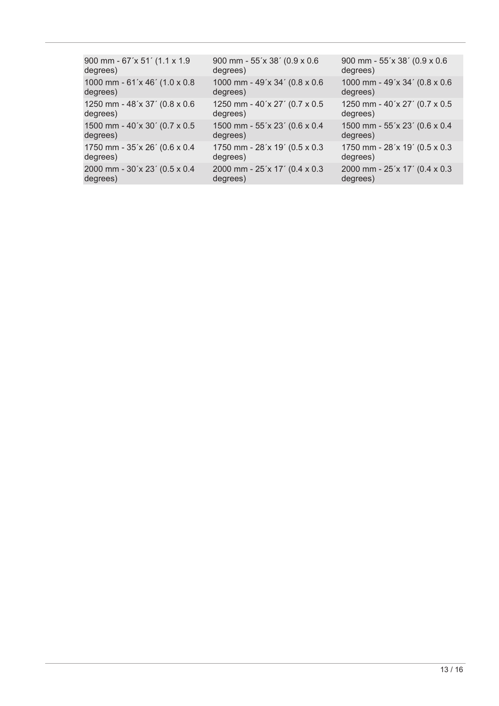| 900 mm - 67'x 51' (1.1 x 1.9)  | 900 mm - 55'x 38' (0.9 x 0.6  | 900 mm - 55'x 38' (0.9 x 0.6  |
|--------------------------------|-------------------------------|-------------------------------|
| degrees)                       | degrees)                      | degrees)                      |
| 1000 mm - 61'x 46' (1.0 x 0.8) | 1000 mm - 49'x 34' (0.8 x 0.6 | 1000 mm - 49'x 34' (0.8 x 0.6 |
| degrees)                       | degrees)                      | degrees)                      |
| 1250 mm - 48'x 37' (0.8 x 0.6) | 1250 mm - 40'x 27' (0.7 x 0.5 | 1250 mm - 40'x 27' (0.7 x 0.5 |
| degrees)                       | degrees)                      | degrees)                      |
| 1500 mm - 40'x 30' (0.7 x 0.5) | 1500 mm - 55'x 23' (0.6 x 0.4 | 1500 mm - 55'x 23' (0.6 x 0.4 |
| degrees)                       | degrees)                      | degrees)                      |
| 1750 mm - 35'x 26' (0.6 x 0.4  | 1750 mm - 28'x 19' (0.5 x 0.3 | 1750 mm - 28'x 19' (0.5 x 0.3 |
| degrees)                       | degrees)                      | degrees)                      |
| 2000 mm - 30'x 23' (0.5 x 0.4  | 2000 mm - 25'x 17' (0.4 x 0.3 | 2000 mm - 25'x 17' (0.4 x 0.3 |
| degrees)                       | degrees)                      | degrees)                      |
|                                |                               |                               |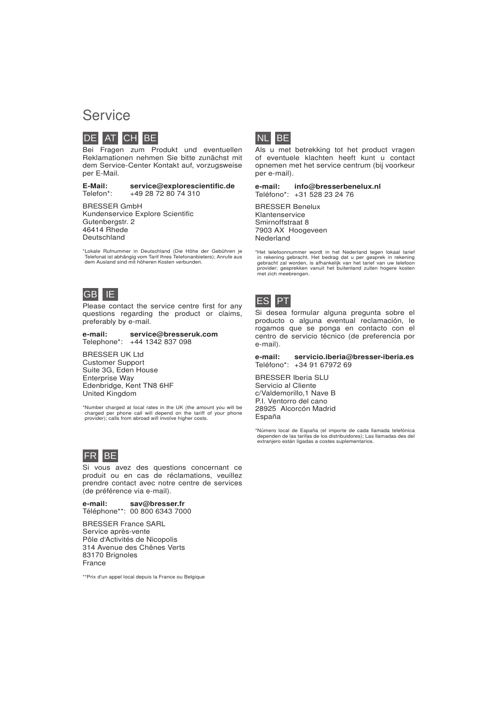### **Service**



Bei Fragen zum Produkt und eventuellen Reklamationen nehmen Sie bitte zunächst mit dem Service-Center Kontakt auf, vorzugsweise per E-Mail.

E-Mail: service@explorescientific.de<br>Telefon\*: +49 28 72 80 74 310 +49 28 72 80 74 310

BRESSER GmbH Kundenservice Explore Scientific Gutenbergstr. 2 46414 Rhede Deutschland

\*Lokale Rufnummer in Deutschland (Die Höhe der Gebühren je Telefonat ist abhängig vom Tarif Ihres Telefonanbieters); Anrufe aus dem Ausland sind mit höheren Kosten verbunden.



Please contact the service centre first for any questions regarding the product or claims, preferably by e-mail.

e-mail: service@bresseruk.com Telephone\*: +44 1342 837 098

BRESSER UK Ltd Customer Support Suite 3G, Eden House Enterprise Way Edenbridge, Kent TN8 6HF United Kingdom

\*Number charged at local rates in the UK (the amount you will be charged per phone call will depend on the tariff of your phone provider); calls from abroad will involve higher costs.



Si vous avez des questions concernant ce produit ou en cas de réclamations, veuillez prendre contact avec notre centre de services (de préférence via e-mail).

e-mail: sav@bresser.fr Téléphone\*\*: 00 800 6343 7000

BRESSER France SARL Service après-vente Pôle d'Activités de Nicopolis 314 Avenue des Chênes Verts 83170 Brignoles France

\*\*Prix d'un appel local depuis la France ou Belgique



Als u met betrekking tot het product vragen of eventuele klachten heeft kunt u contact opnemen met het service centrum (bij voorkeur per e-mail).

e-mail: info@bresserbenelux.nl Teléfono\*: +31 528 23 24 76

BRESSER Benelux Klantenservice Smirnoffstraat 8 7903 AX Hoogeveen Nederland

\*Het telefoonnummer wordt in het Nederland tegen lokaal tarief in rekening gebracht. Het bedrag dat u per gesprek in rekening gebracht zal worden, is afhankelijk van het tarief van uw telefoon provider; gesprekken vanuit h



Si desea formular alguna pregunta sobre el producto o alguna eventual reclamación, le rogamos que se ponga en contacto con el centro de servicio técnico (de preferencia por e-mail).

e-mail: servicio.iberia@bresser-iberia.es Teléfono\*: +34 91 67972 69

BRESSER Iberia SLU Servicio al Cliente c/Valdemorillo,1 Nave B P.I. Ventorro del cano 28925 Alcorcón Madrid España

\*Número local de España (el importe de cada llamada telefónica dependen de las tarifas de los distribuidores); Las llamadas des del extranjero están ligadas a costes suplementarios.